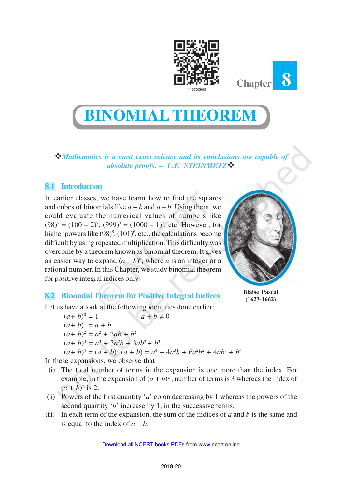

**BINOMIALTHEOREM**

v*Mathematics is a most exact science and its conclusions are capable of absolute proofs.* **–** *C.P. STEINMETZ*v

## **8.1 Introduction**

In earlier classes, we have learnt how to find the squares and cubes of binomials like  $a + b$  and  $a - b$ . Using them, we could evaluate the numerical values of numbers like  $(98)^2 = (100 - 2)^2$ ,  $(999)^3 = (1000 - 1)^3$ , etc. However, for higher powers like  $(98)^5$ ,  $(101)^6$ , etc., the calculations become difficult by using repeated multiplication. This difficulty was overcome by a theorem known as binomial theorem. It gives an easier way to expand  $(a + b)^n$ , where *n* is an integer or a rational number. In this Chapter, we study binomial theorem for positive integral indices only.



**Blaise Pascal (1623-1662)**

**Chapter 8**

# **8.2 Binomial Theorem for Positive Integral Indices**

Let us have a look at the following identities done earlier:

$$
(a+b)^0 = 1
$$
  
\n
$$
(a+b)^1 = a + b
$$
  
\n
$$
(a+b)^2 = a^2 + 2ab + b^2
$$
  
\n
$$
(a+b)^3 = a^3 + 3a^2b + 3ab^2 + b^3
$$
  
\n
$$
(a+b)^4 = (a+b)^3(a+b) = a^4 + 4a^3b + 6a^2b^2 + 4ab^3 + b^4
$$

In these expansions, we observe that

- (i) The total number of terms in the expansion is one more than the index. For example, in the expansion of  $(a + b)^2$ , number of terms is 3 whereas the index of  $(a + b)^2$  is 2.
- (ii) Powers of the first quantity '*a*' go on decreasing by 1 whereas the powers of the second quantity '*b*' increase by 1, in the successive terms.
- (iii) In each term of the expansion, the sum of the indices of  $a$  and  $b$  is the same and is equal to the index of  $a + b$ .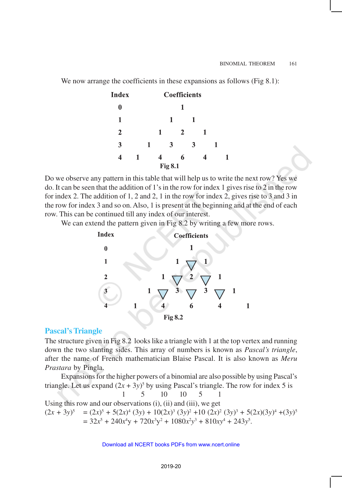We now arrange the coefficients in these expansions as follows (Fig 8.1):

| <b>Index</b>   |   | <b>Coefficients</b> |   |   |                |   |   |   |  |
|----------------|---|---------------------|---|---|----------------|---|---|---|--|
| 0              |   |                     |   |   |                |   |   |   |  |
| 1              |   |                     |   | 1 |                | 1 |   |   |  |
| 2              |   |                     | 1 |   | $\overline{2}$ |   | 1 |   |  |
| 3              |   | 1                   |   | 3 |                | 3 |   | 1 |  |
| 4              | 1 |                     |   |   | 6              |   |   |   |  |
| <b>Fig 8.1</b> |   |                     |   |   |                |   |   |   |  |

Do we observe any pattern in this table that will help us to write the next row? Yes we do. It can be seen that the addition of 1's in the row for index 1 gives rise to 2 in the row for index 2. The addition of 1, 2 and 2, 1 in the row for index 2, gives rise to 3 and 3 in the row for index 3 and so on. Also, 1 is present at the beginning and at the end of each row. This can be continued till any index of our interest.

We can extend the pattern given in Fig 8.2 by writing a few more rows.



### **Pascal's Triangle**

The structure given in Fig 8.2 looks like a triangle with 1 at the top vertex and running down the two slanting sides. This array of numbers is known as *Pascal's triangle*, after the name of French mathematician Blaise Pascal. It is also known as *Meru Prastara* by Pingla.

Expansions for the higher powers of a binomial are also possible by using Pascal's triangle. Let us expand  $(2x + 3y)^5$  by using Pascal's triangle. The row for index 5 is 1 5 10 10 5 1 Using this row and our observations (i), (ii) and (iii), we get  $(2x + 3y)^5 = (2x)^5 + 5(2x)^4 (3y) + 10(2x)^3 (3y)^2 + 10 (2x)^2 (3y)^3 + 5(2x)(3y)^4 + (3y)^5$  $= 32x^5 + 240x^4y + 720x^3y^2 + 1080x^2y^3 + 810xy^4 + 243y^5$ .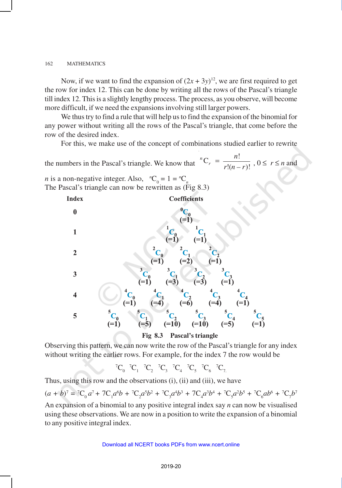Now, if we want to find the expansion of  $(2x + 3y)^{12}$ , we are first required to get the row for index 12. This can be done by writing all the rows of the Pascal's triangle till index 12. This is a slightly lengthy process. The process, as you observe, will become more difficult, if we need the expansions involving still larger powers.

We thus try to find a rule that will help us to find the expansion of the binomial for any power without writing all the rows of the Pascal's triangle, that come before the row of the desired index.

For this, we make use of the concept of combinations studied earlier to rewrite

the numbers in the Pascal's triangle. We know that  $C_r = \frac{n!}{r}$  $\frac{!(n-r)!}{n}$  $^nC_r$ *n*  $=\frac{n!}{r!(n-r)!}$ ,  $0 \le r \le n$  and *n* is a non-negative integer. Also,  $C_0 = 1 = C_n$ 

The Pascal's triangle can now be rewritten as (Fig 8.3)



**Fig 8.3 Pascal's triangle**

Observing this pattern, we can now write the row of the Pascal's triangle for any index without writing the earlier rows. For example, for the index 7 the row would be

 ${}^{7}C_{0}$   ${}^{7}C_{1}$   ${}^{7}C_{2}$   ${}^{7}C_{3}$   ${}^{7}C_{4}$   ${}^{7}C_{5}$   ${}^{7}C_{6}$   ${}^{7}C_{7}$ 

Thus, using this row and the observations (i), (ii) and (iii), we have

 $(a + b)^7 = {}^7C_0 a^7 + 7C_1 a^6 b + {}^7C_2 a^5 b^2 + {}^7C_3 a^4 b^3 + 7C_4 a^3 b^4 + {}^7C_5 a^2 b^5 + {}^7C_6 a b^6 + {}^7C_7 b^7$ 

An expansion of a binomial to any positive integral index say *n* can now be visualised using these observations. We are now in a position to write the expansion of a binomial to any positive integral index.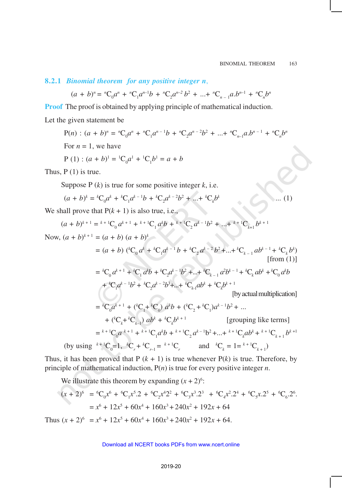**8.2.1** *Binomial theorem for any positive integer n*,

$$
(a + b)^n = {}^nC_0 a^n + {}^nC_1 a^{n-1} b + {}^nC_2 a^{n-2} b^2 + \dots + {}^nC_{n-1} a.b^{n-1} + {}^nC_n b^n
$$

**Proof** The proof is obtained by applying principle of mathematical induction.

Let the given statement be

P(n): 
$$
(a + b)^n = {}^nC_0 a^n + {}^nC_1 a^{n-1}b + {}^nC_2 a^{n-2}b^2 + ... + {}^nC_{n-1} a.b^{n-1} + {}^nC_n b^n
$$
  
For  $n = 1$ , we have  
P (1):  $(a + b)^1 = {}^1C_0 a^1 + {}^1C_1 b^1 = a + b$   
Thus, P (1) is true.  
Suppose P (*k*) is true for some positive integer *k*, i.e.

$$
(a+b)^k = {}^{k}C_0 a^k + {}^{k}C_1 a^{k-1} b + {}^{k}C_2 a^{k-2} b^2 + \dots + {}^{k}C_k b^k \qquad \qquad \dots (1)
$$

We shall prove that  $P(k + 1)$  is also true, i.e.,

$$
(a+b)^{k+1} = {}^{k+1}C_0 a^{k+1} + {}^{k+1}C_1 a^k b + {}^{k+1}C_2 a^{k-1} b^2 + \ldots + {}^{k+1}C_{k+1} b^{k+1}
$$

Now,  $(a + b)^{k+1} = (a + b) (a + b)^k$ 

$$
= (a + b) \left( {}^{k}C_{0} a^{k} + {}^{k}C_{1} a^{k-1} b + {}^{k}C_{2} a^{k-2} b^{2} + \dots + {}^{k}C_{k-1} ab^{k-1} + {}^{k}C_{k} b^{k} \right)
$$
  
[from (1)]

$$
= {}^{k}C_{0}a^{k+1} + {}^{k}C_{1}a^{k}b + {}^{k}C_{2}a^{k-1}b^{2} + ... + {}^{k}C_{k-1}a^{2}b^{k-1} + {}^{k}C_{k}ab^{k} + {}^{k}C_{0}a^{k}b
$$
  
+  ${}^{k}C_{1}a^{k-1}b^{2} + {}^{k}C_{2}a^{k-2}b^{3} + ... + {}^{k}C_{k-1}ab^{k} + {}^{k}C_{k}b^{k+1}$   
[by actual multiplication]  
=  ${}^{k}C_{0}a^{k+1} + ({}^{k}C_{1} + {}^{k}C_{0})a^{k}b + ({}^{k}C_{2} + {}^{k}C_{1})a^{k-1}b^{2} + ...$   
+  $({}^{k}C_{k} + {}^{k}C_{k-1})ab^{k} + {}^{k}C_{k}b^{k+1}$   
[grouping like terms]  
=  ${}^{k+1}C_{0}a^{k+1} + {}^{k+1}C_{1}a^{k}b + {}^{k+1}C_{2}a^{k-1}b^{2} + ... + {}^{k+1}C_{k}ab^{k} + {}^{k+1}C_{k+1}b^{k+1}$ 

(by using  ${}^{k+1}C_0 = 1$ ,  ${}^kC_r + {}^kC_{r-1} = {}^{k+1}C_r$  and  ${}^kC_k = 1 = {}^{k+1}C_{k+1}$ )

Thus, it has been proved that  $P(k + 1)$  is true whenever  $P(k)$  is true. Therefore, by principle of mathematical induction, P(*n*) is true for every positive integer *n*.

We illustrate this theorem by expanding  $(x + 2)^6$ :

$$
(x + 2)^6 = {}^6C_0 x^6 + {}^6C_1 x^5 \cdot 2 + {}^6C_2 x^4 2^2 + {}^6C_3 x^3 \cdot 2^3 + {}^6C_4 x^2 \cdot 2^4 + {}^6C_5 x \cdot 2^5 + {}^6C_6 \cdot 2^6
$$
  
=  $x^6 + 12x^5 + 60x^4 + 160x^3 + 240x^2 + 192x + 64$ 

Thus  $(x + 2)^6 = x^6 + 12x^5 + 60x^4 + 160x^3 + 240x^2 + 192x + 64$ .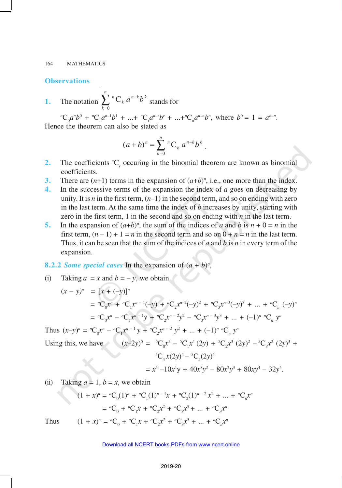### **Observations**

**1.** The notation  $\sum_{k=0}^{n} {^{n}C}_{k} a^{n-k}$ *k*  $n-k$ **L** *k*  $^{n}C_{k}$   $a^{n-k}b$  $\int_{0}^{n} \mathbf{C}_k a^{n-k} b^k$  stands for

 ${}^{n}C_{0}a^{n}b^{0} + {}^{n}C_{1}a^{n-1}b^{1} + ... + {}^{n}C_{r}a^{n-r}b^{r} + ... + {}^{n}C_{n}a^{n-n}b^{n}$ , where  $b^{0} = 1 = a^{n-n}$ . Hence the theorem can also be stated as

$$
(a+b)^n = \sum_{k=0}^n {n \choose k} a^{n-k} b^k.
$$

- **2.** The coefficients  ${}^nC_r$  occuring in the binomial theorem are known as binomial coefficients.
- **3.** There are  $(n+1)$  terms in the expansion of  $(a+b)^n$ , i.e., one more than the index.
- **4.** In the successive terms of the expansion the index of *a* goes on decreasing by unity. It is *n* in the first term,  $(n-1)$  in the second term, and so on ending with zero in the last term. At the same time the index of *b* increases by unity, starting with zero in the first term, 1 in the second and so on ending with  $n$  in the last term.
- **5.** In the expansion of  $(a+b)^n$ , the sum of the indices of *a* and *b* is  $n + 0 = n$  in the first term,  $(n - 1) + 1 = n$  in the second term and so on  $0 + n = n$  in the last term. Thus, it can be seen that the sum of the indices of *a* and *b* is *n* in every term of the expansion.

### **8.2.2** *Some special cases* In the expansion of  $(a + b)^n$ ,

(i) Taking  $a = x$  and  $b = -y$ , we obtain

$$
(x - y)^n = [x + (-y)]^n
$$
  
=  ${}^nC_0 x^n + {}^nC_1 x^{n-1}(-y) + {}^nC_2 x^{n-2}(-y)^2 + {}^nC_3 x^{n-3}(-y)^3 + \dots + {}^nC_n (-y)^n$   
=  ${}^nC_0 x^n - {}^nC_1 x^{n-1}y + {}^nC_2 x^{n-2}y^2 - {}^nC_3 x^{n-3}y^3 + \dots + (-1)^n {}^nC_n y^n$ 

Thus  $(x-y)^n = {}^nC_0 x^n - {}^nC_1 x^{n-1} y + {}^nC_2 x^{n-2} y^2 + ... + (-1)^n {}^nC_n y^n$ 

Using this, we have 
$$
(x-2y)^5 = {}^{5}C_0 x^5 - {}^{5}C_1 x^4 (2y) + {}^{5}C_2 x^3 (2y)^2 - {}^{5}C_3 x^2 (2y)^3 + {}^{5}C_4 x (2y)^4 - {}^{5}C_5 (2y)^5
$$

$$
= x^5 - 10x^4y + 40x^3y^2 - 80x^2y^3 + 80xy^4 - 32y^5.
$$

(ii) Taking  $a = 1$ ,  $b = x$ , we obtain

$$
(1+x)^n = {}^nC_0(1)^n + {}^nC_1(1)^{n-1}x + {}^nC_2(1)^{n-2}x^2 + \dots + {}^nC_n x^n
$$
  
=  ${}^nC_0 + {}^nC_1x + {}^nC_2x^2 + {}^nC_3x^3 + \dots + {}^nC_nx^n$ 

Thus  $(1 + x)^n = {}^nC_0 + {}^nC_1x + {}^nC_2x^2 + {}^nC_3x^3 + ... + {}^nC_nx^n$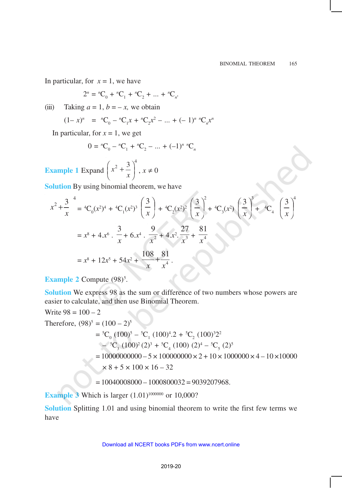In particular, for  $x = 1$ , we have

$$
2^{n} = {}^{n}C_{0} + {}^{n}C_{1} + {}^{n}C_{2} + \dots + {}^{n}C_{n}.
$$

(iii) Taking  $a = 1$ ,  $b = -x$ , we obtain

$$
(1-x)^n = {}^{n}C_0 - {}^{n}C_1x + {}^{n}C_2x^2 - \dots + (-1)^n {}^{n}C_nx^n
$$

In particular, for  $x = 1$ , we get

$$
0 = {}^{n}C_{0} - {}^{n}C_{1} + {}^{n}C_{2} - \dots + (-1)^{n} {}^{n}C_{n}
$$

**Example 1** Expand  $x^2 + \frac{3}{x^2}$ *x*  $\left(x^2+\frac{3}{x}\right)^7$ ,  $x \neq 0$ 

**Solution** By using binomial theorem, we have

$$
x^{2} + \frac{3}{x}^{4} = {}^{4}C_{0}(x^{2})^{4} + {}^{4}C_{1}(x^{2})^{3} \left(\frac{3}{x}\right) + {}^{4}C_{2}(x^{2})^{2} \left(\frac{3}{x}\right)^{2} + {}^{4}C_{3}(x^{2}) \left(\frac{3}{x}\right)^{3} + {}^{4}C_{4} \left(\frac{3}{x}\right)^{4}
$$

$$
= x^{8} + 4x^{6} \cdot \frac{3}{x} + 6x^{4} \cdot \frac{9}{x^{2}} + 4x^{2} \cdot \frac{27}{x^{3}} + \frac{81}{x^{4}}
$$

$$
= x^{8} + 12x^{5} + 54x^{2} + \frac{108}{x} + \frac{81}{x^{4}}.
$$

**Example 2** Compute (98)<sup>5</sup>.

**Solution** We express 98 as the sum or difference of two numbers whose powers are easier to calculate, and then use Binomial Theorem.

Write 98 = 100 - 2  
\nTherefore, 
$$
(98)^5 = (100 - 2)^5
$$
  
\n
$$
= {}^5C_0 (100)^5 - {}^5C_1 (100)^4.2 + {}^5C_2 (100)^3 2^2
$$
\n
$$
- {}^5C_3 (100)^2 (2)^3 + {}^5C_4 (100) (2)^4 - {}^5C_5 (2)^5
$$
\n
$$
= 10000000000 - 5 \times 1000000000 \times 2 + 10 \times 1000000 \times 4 - 10 \times 10000
$$
\n
$$
\times 8 + 5 \times 100 \times 16 - 32
$$

$$
= 10040008000 - 1000800032 = 9039207968.
$$

**Example 3** Which is larger  $(1.01)^{1000000}$  or 10,000?

**Solution** Splitting 1.01 and using binomial theorem to write the first few terms we have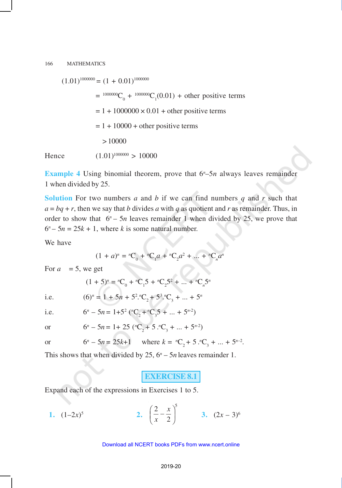$(1.01)^{1000000}$  =  $(1 + 0.01)^{1000000}$  $=$   $^{1000000}C_0$  +  $^{1000000}C_1(0.01)$  + other positive terms  $= 1 + 1000000 \times 0.01 +$  other positive terms  $= 1 + 10000 +$  other positive terms > 10000 Hence  $(1.01)^{1000000} > 10000$ 

**Example 4** Using binomial theorem, prove that  $6^n$ –5*n* always leaves remainder 1 when divided by 25.

**Solution** For two numbers *a* and *b* if we can find numbers *q* and *r* such that  $a = bq + r$ , then we say that *b* divides *a* with *q* as quotient and *r* as remainder. Thus, in order to show that  $6^n - 5n$  leaves remainder 1 when divided by 25, we prove that  $6^n - 5n = 25k + 1$ , where *k* is some natural number.

We have

$$
(1 + a)^n = {}^nC_0 + {}^nC_1a + {}^nC_2a^2 + \dots + {}^nC_n a^n
$$

For  $a = 5$ , we get

$$
(1 + 5)^n = {}^nC_0 + {}^nC_15 + {}^nC_25^2 + \dots + {}^nC_n5^n
$$

i.e. 
$$
(6)^n = 1 + 5n + 5^2 \cdot {}^{n}C_2 + 5^3 \cdot {}^{n}C_3 + \dots + 5^n
$$

i.e. 
$$
6^n - 5n = 1 + 5^2 ({}^nC_2 + {}^nC_3 + ... + 5^{n-2})
$$

or 
$$
6^n - 5n = 1 + 25
$$
  $({}^nC_2 + 5 \cdot {}^nC_3 + \dots + 5^{n-2})$ 

or 
$$
6^n - 5n = 25k+1
$$
 where  $k = {}^nC_2 + 5 {}^nC_3 + ... + 5^{n-2}$ .

This shows that when divided by  $25$ ,  $6<sup>n</sup> - 5n$  leaves remainder 1.

**EXERCISE 8.1**

Expand each of the expressions in Exercises 1 to 5.

1. 
$$
(1-2x)^5
$$
 2.  $\left(\frac{2}{x} - \frac{x}{2}\right)^5$  3.  $(2x-3)^6$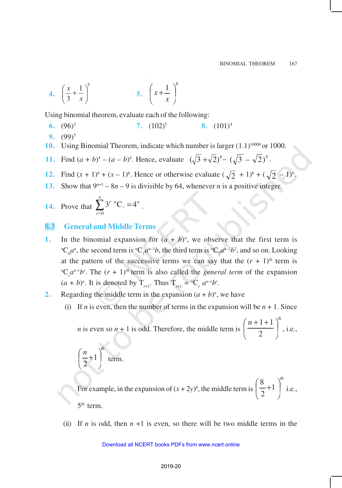4. 
$$
\left(\frac{x}{3} + \frac{1}{x}\right)^5
$$
 5.  $\left(x + \frac{1}{x}\right)^6$ 

Using binomial theorem, evaluate each of the following:

- **6.** (96)<sup>3</sup> **7.** (102)<sup>5</sup> **8.** (101)<sup>4</sup>
- **9.** (99)<sup>5</sup>
- **10.** Using Binomial Theorem, indicate which number is larger  $(1.1)^{10000}$  or 1000.
- **11.** Find  $(a + b)^4 (a b)^4$ . Hence, evaluate  $(\sqrt{3} + \sqrt{2})^4 (\sqrt{3} \sqrt{2})^4$ .
- **12.** Find  $(x + 1)^6 + (x 1)^6$ . Hence or otherwise evaluate  $(\sqrt{2} + 1)^6 + (\sqrt{2} 1)^6$ .
- **13.** Show that  $9^{n+1} 8n 9$  is divisible by 64, whenever *n* is a positive integer.
- **14.** Prove that  $\sum_{r=0}^{n} 3^{r} {}^{n}C_{r} =$ *r*  $\int$ <sup>*r*</sup>  $\int$ <sup>*n*</sup>**C**<sub>*r*</sub> = 4<sup>*n*</sup>  $\int_{0}^{1} 3^{r} {}^{n}C_{r} = 4^{n}$ .

# **8.3 General and Middle Terms**

- **1.** In the binomial expansion for  $(a + b)^n$ , we observe that the first term is  ${}^nC_0a^n$ , the second term is  ${}^nC_1a^{n-1}b$ , the third term is  ${}^nC_2a^{n-2}b^2$ , and so on. Looking at the pattern of the successive terms we can say that the  $(r + 1)$ <sup>th</sup> term is <sup>*n*</sup>C<sub>*r*</sub> $a^{n-r}b^r$ . The  $(r + 1)^{th}$  term is also called the *general term* of the expansion  $(a + b)^n$ . It is denoted by  $T_{r+1}$ . Thus  $T_{r+1} = {}^nC_r a^{n-r}b^r$ .
- **2.** Regarding the middle term in the expansion  $(a + b)^n$ , we have
	- (i) If *n* is even, then the number of terms in the expansion will be  $n + 1$ . Since

*n* is even so  $n + 1$  is odd. Therefore, the middle term is  $n+1+1$ <sup> $\big|^{th}$ </sup>  $\overline{1}$  $\left(\frac{n+1+1}{2}\right)$ l  $\left(n+1+\right)$ 2  $1 + 1$ , i.e.,

$$
\left(\frac{n}{2}+1\right)^{th}
$$
 term.

For example, in the expansion of  $(x + 2y)^8$ , the middle term is *th*  $\overline{1}$  $\left(\frac{8}{2}+1\right)$ l  $\frac{8}{2}+1$ 2 8 i.e.,  $5<sup>th</sup>$  term.

(ii) If *n* is odd, then  $n + 1$  is even, so there will be two middle terms in the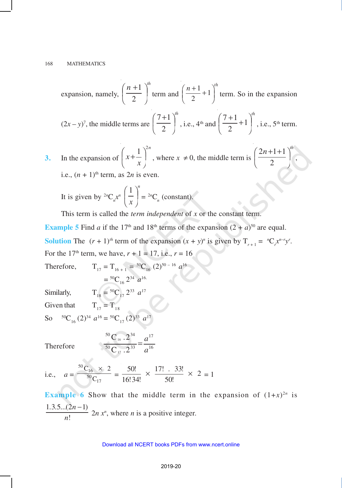expansion, namely, 
$$
\left(\frac{n+1}{2}\right)^{th}
$$
 term and  $\left(\frac{n+1}{2}+1\right)^{th}$  term. So in the expansion  
 $(2x - y)^7$ , the middle terms are  $\left(\frac{7+1}{2}\right)^{th}$ , i.e.,  $4^{th}$  and  $\left(\frac{7+1}{2}+1\right)^{th}$ , i.e.,  $5^{th}$  term.

**3.** In the expansion of *n x x*  $1)^2$   $\overline{1}$  $\left(x+\frac{1}{x}\right)$ l  $\left(x + \frac{1}{x}\right)^{2n}$ , where  $x \neq 0$ , the middle term is  $n+1+1$ <sup>th</sup>  $\overline{1}$  $\left(\frac{2n+1+1}{2}\right)$ l  $\left(2n+1+\right)$ 2  $2n+1+1$ , i.e.,  $(n + 1)$ <sup>th</sup> term, as  $2n$  is even.

It is given by 
$$
{}^{2n}C_n x^n \left(\frac{1}{x}\right)^n = {}^{2n}C_n
$$
 (constant).

This term is called the *term independent* of *x* or the constant term.

**Example 5** Find *a* if the 17<sup>th</sup> and 18<sup>th</sup> terms of the expansion  $(2 + a)^{50}$  are equal. **Solution** The  $(r + 1)^{th}$  term of the expansion  $(x + y)^{n}$  is given by  $T_{r+1} = {}^{n}C_{r}x^{n-r}y^{r}$ . For the 17<sup>th</sup> term, we have,  $r + 1 = 17$ , i.e.,  $r = 16$ 

Therefore,  $T_{17} = T_{16+1} = {}^{50}C_{16} (2)^{50-16} a^{16}$  $= {}^{50}C_{16} 2^{34} a^{16}$ 

Similarly,  $T_{18} = {}^{50}C_{17} 2^{33} a^{17}$ 

Given that  $T_{17} = T_{18}$ 

So  ${}^{50}C_{16}$  (2)<sup>34</sup>  $a^{16} = {}^{50}C_{17}$  (2)<sup>33</sup>  $a^{17}$ 

Therefore

$$
\frac{{}^{50}C_{16} \cdot 2^{34}}{{}^{50}C_{17} \cdot 2^{33}} = \frac{a^{17}}{a^{16}}
$$

i.e., 
$$
a = \frac{{}^{50}C_{16} \times 2}{{}^{50}C_{17}} = \frac{50!}{16!34!} \times \frac{17! \times 33!}{50!} \times 2 = 1
$$

**Example 6** Show that the middle term in the expansion of  $(1+x)^{2n}$  is  $1.3.5...(2n-1)$ ! *. . ... n n* −  $2n x<sup>n</sup>$ , where *n* is a positive integer.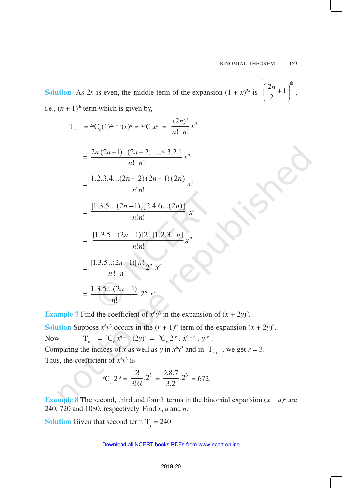**Solution** As  $2n$  is even, the middle term of the expansion  $(1 + x)^{2n}$  is  $\left(\frac{2n}{2}+1\right)^{th}$ 2  $\left(\frac{2n}{2}+1\right)^{n}$ i.e.,  $(n + 1)$ <sup>th</sup> term which is given by,

$$
T_{n+1} = {}^{2n}C_n(1)^{2n-n}(x)^n = {}^{2n}C_n x^n = \frac{(2n)!}{n! n!} x^n
$$

$$
= \frac{2n(2n-1)(2n-2)...4.3.2.1}{n! n!}
$$

$$
= \frac{1.2.3.4...(2n-2)(2n-1)(2n)}{n! n!} x^{n}
$$

$$
= \frac{[1.3.5...(2n-1)][2.4.6...(2n)]}{n!n!} x^{n}
$$

$$
= \frac{[1.3.5...(2n-1)]2^{n}[1.2.3...n]}{n!n!}x^{n}
$$

$$
= \frac{[1.3.5...(2n-1)] n!}{n! n!} 2^n. x^n
$$

$$
=\frac{1.3.5...(2n-1)}{n!}2^n x^n
$$

**Example 7** Find the coefficient of  $x^6y^3$  in the expansion of  $(x + 2y)^9$ .

**Solution** Suppose  $x^6y^3$  occurs in the  $(r + 1)$ <sup>th</sup> term of the expansion  $(x + 2y)^9$ . Now  $T_{r+1} = {}^{9}C_r x^{9-r} (2y)^r = {}^{9}C_r 2^r x^{9-r} y^r$ . Comparing the indices of *x* as well as *y* in  $x^6y^3$  and in  $T_{r+1}$ , we get  $r = 3$ .

Thus, the coefficient of  $x^6y^3$  is

$$
^{9}C_{3} 2^{3} = \frac{9!}{3!6!} 2^{3} = \frac{9.8.7}{3.2} 2^{3} = 672.
$$

**Example 8** The second, third and fourth terms in the binomial expansion  $(x + a)^n$  are 240, 720 and 1080, respectively. Find *x*, *a* and *n*.

**Solution** Given that second term  $T_2 = 240$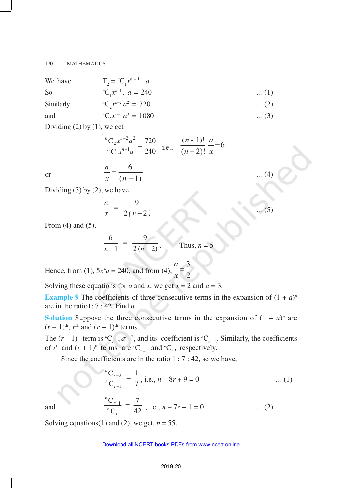| We have                                              | $T_2 = {}^nC_1 x^{n-1}$ . a        |             |
|------------------------------------------------------|------------------------------------|-------------|
| S <sub>o</sub>                                       | ${}^{n}C_{1}x^{n-1}$ . $a = 240$   | $\dots(1)$  |
| Similarly                                            | ${}^nC_{\gamma} x^{n-2} a^2 = 720$ | $\dots (2)$ |
| and                                                  | ${}^{n}C_{2}x^{n-3} a^{3} = 1080$  | $\dots (3)$ |
| $\sim \cdot$ $\cdot$ $\cdot$<br>$\sim$ $\sim$ $\sim$ |                                    |             |

Dividing (2) by (1), we get

or 
$$
\frac{{}^{n}C_{2}x^{n-2}a^{2}}{{}^{n}C_{1}x^{n-1}a} = \frac{720}{240}
$$
 i.e.,  $\frac{(n-1)!}{(n-2)!} \cdot \frac{a}{x} = 6$   
or 
$$
\frac{a}{x} = \frac{6}{(n-1)}
$$
 ... (4)

... (5)

Dividing  $(3)$  by  $(2)$ , we have

$$
\frac{a}{x} = \frac{9}{2(n-2)}
$$

From (4) and (5),

$$
\frac{6}{n-1} = \frac{9}{2(n-2)}
$$
 Thus,  $n = 5$ 

Hence, from (1),  $5x^4a = 240$ , and from (4),  $\frac{-2}{x} = \frac{1}{2}$ 3 = *x a*

Solving these equations for *a* and *x*, we get  $x = 2$  and  $a = 3$ .

**Example 9** The coefficients of three consecutive terms in the expansion of  $(1 + a)^n$ are in the ratio1: 7 : 42. Find *n*.

**Solution** Suppose the three consecutive terms in the expansion of  $(1 + a)^n$  are  $(r-1)$ <sup>th</sup>,  $r$ <sup>th</sup> and  $(r+1)$ <sup>th</sup> terms.

The  $(r-1)$ <sup>th</sup> term is  ${}^nC_{r-2}a^{r-2}$ , and its coefficient is  ${}^nC_{r-2}$ . Similarly, the coefficients of  $r<sup>th</sup>$  and  $(r + 1)<sup>th</sup>$  terms are  $<sup>n</sup>C<sub>r-1</sub>$  and  $<sup>n</sup>C<sub>r</sub>$ , respectively.</sup></sup>

Since the coefficients are in the ratio  $1:7:42$ , so we have,

$$
\frac{{}^{n}C_{r-2}}{{}^{n}C_{r-1}} = \frac{1}{7}, \text{ i.e., } n - 8r + 9 = 0 \tag{1}
$$

and

$$
\frac{{}^{n}C_{r-1}}{{}^{n}C_{r}} = \frac{7}{42}
$$
, i.e.,  $n - 7r + 1 = 0$  ... (2)

Solving equations(1) and (2), we get,  $n = 55$ .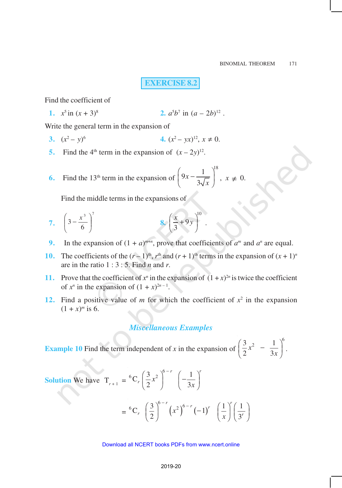**EXERCISE 8.2**

Find the coefficient of

**1.**  $x^5$  in  $(x + 3)^8$  **2.** *a*  $5b^7$  in  $(a-2b)^{12}$ .

Write the general term in the expansion of

- **3.**  $(x^2 y)$ 6 **4.**  $(x^2 - yx)^{12}, x \neq 0.$
- **5.** Find the 4<sup>th</sup> term in the expansion of  $(x 2y)^{12}$ .
- **6.** Find the 13<sup>th</sup> term in the expansion of  $9x - \frac{1}{2}$ <sup>18</sup> 3 *x x*  $\left(9x-\frac{1}{3\sqrt{x}}\right)^{10}, x \neq 0.$

Find the middle terms in the expansions of

- **7.**  $3^7$  $3-\frac{x}{6}$  $\overline{1}$  $\lambda$  $\overline{\phantom{a}}$ l  $\int 3 - \frac{x}{x}$ **8.** 10 9 3  $\left(\frac{x}{3} + 9y\right)^{10}$ .
- **9.** In the expansion of  $(1 + a)^{m+n}$ , prove that coefficients of  $a^m$  and  $a^n$  are equal.
- **10.** The coefficients of the  $(r-1)^{\text{th}}$ ,  $r^{\text{th}}$  and  $(r+1)^{\text{th}}$  terms in the expansion of  $(x+1)^n$ are in the ratio 1 : 3 : 5. Find *n* and *r*.
- **11.** Prove that the coefficient of  $x^n$  in the expansion of  $(1 + x)^{2n}$  is twice the coefficient of  $x^n$  in the expansion of  $(1 + x)^{2n-1}$ .
- 12. Find a positive value of *m* for which the coefficient of  $x^2$  in the expansion  $(1 + x)^m$  is 6.

## *Miscellaneous Examples*

**Example 10** Find the term independent of *x* in the expansion of  $3_{r^2}$  1  $\big)^6$ 2 3 *x x*  $\left(\frac{3}{2}x^2 - \frac{1}{3x}\right)^6$ .

**Solution** We have 
$$
T_{r+1} = {^6C_r} \left(\frac{3}{2}x^2\right)^{6-r} \left(-\frac{1}{3x}\right)^r
$$

$$
= {}^{6}C_{r} \left(\frac{3}{2}\right)^{6-r} \left(x^{2}\right)^{6-r} \left(-1\right)^{r} \left(\frac{1}{x}\right)^{r} \left(\frac{1}{3^{r}}\right)
$$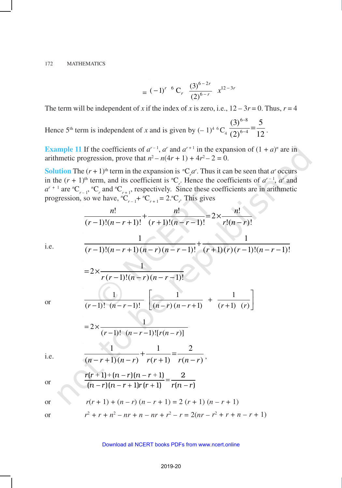$$
= (-1)^{r-6} C_r \frac{(3)^{6-2r}}{(2)^{6-r}} x^{12-3r}
$$

The term will be independent of *x* if the index of *x* is zero, i.e.,  $12 - 3r = 0$ . Thus,  $r = 4$ 

Hence 5<sup>th</sup> term is independent of *x* and is given by  $(-1)^{4} {}^{6}C_{4} \frac{1}{(2)^{6-4}} = \frac{1}{12}$ 5  $(2)$  $(3)$  $6 - 4$  $6 - 8$  $\frac{1}{-4}$ − .

**Example 11** If the coefficients of  $a^{r-1}$ ,  $a^r$  and  $a^{r+1}$  in the expansion of  $(1 + a)^n$  are in arithmetic progression, prove that  $n^2 - n(4r + 1) + 4r^2 - 2 = 0$ .

**Solution** The  $(r + 1)$ <sup>th</sup> term in the expansion is  ${}^nC_r a^r$ . Thus it can be seen that *a*<sup>*r*</sup> occurs in the  $(r + 1)$ <sup>th</sup> term, and its coefficient is <sup>*n*</sup>C<sub>*r*</sub>. Hence the coefficients of  $a^{r-1}$ ,  $a^r$  and  $a^{r+1}$  are <sup>*n*</sup>C<sub>*r*-1</sub></sub>, *<sup>n</sup>*C<sub>*r*</sub> and <sup>*n*</sup>C<sub>*r*+1</sub>, respectively. Since these coefficients are in arithmetic progression, so we have,  ${}^nC_{r-1}$  +  ${}^nC_{r+1}$  = 2. ${}^nC_r$ . This gives

$$
\frac{n!}{(r-1)!(n-r+1)!} + \frac{n!}{(r+1)!(n-r-1)!} = 2 \times \frac{n!}{r!(n-r)!}
$$
  
i.e. 
$$
\frac{1}{(r-1)!(n-r+1)(n-r)(n-r-1)!} + \frac{1}{(r+1)(r)(r-1)!(n-r-1)!}
$$

$$
= 2 \times \frac{1}{r(r-1)!(n-r)(n-r-1)!}
$$
  
or 
$$
\frac{1}{(r-1)!(n-r-1)!} \left[ \frac{1}{(n-r)(n-r+1)} + \frac{1}{(r+1) (r)} \right]
$$
  
i.e. 
$$
\frac{1}{(n-r+1)!(n-r)} + \frac{1}{r(r+1)} = \frac{2}{r(n-r)},
$$
  
or 
$$
\frac{r(r+1)+(n-r)(n-r+1)}{(n-r)(n-r+1)r(r+1)} = \frac{2}{r(n-r)}
$$
  
or 
$$
r(r+1) + (n-r) (n-r+1) = 2 (r+1) (n-r+1)
$$

$$
r^2 + r + n^2 - nr + n - nr + r^2 - r = 2(nr - r^2 + r + n - r + 1)
$$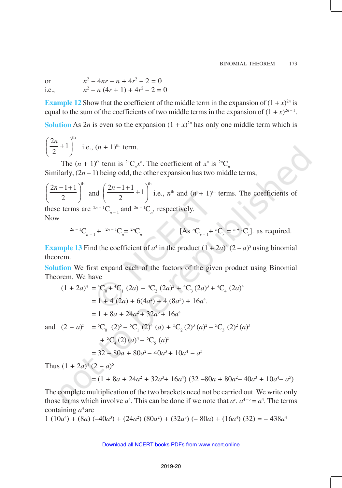or *n*  $x^2 - 4nr - n + 4r^2 - 2 = 0$ i.e., *n*  $x^2 - n(4r + 1) + 4r^2 - 2 = 0$ 

**Example 12** Show that the coefficient of the middle term in the expansion of  $(1 + x)^{2n}$  is equal to the sum of the coefficients of two middle terms in the expansion of  $(1 + x)^{2n-1}$ .

**Solution** As  $2n$  is even so the expansion  $(1 + x)^{2n}$  has only one middle term which is

$$
\left(\frac{2n}{2} + 1\right)^{\text{th}}
$$
 i.e.,  $(n + 1)^{\text{th}}$  term.

The  $(n + 1)$ <sup>th</sup> term is <sup>2*n*</sup>C<sub>*n*</sub><sup>*n*</sup>. The coefficient of  $x^n$  is <sup>2*n*</sup>C<sub>*n*</sub> Similarly,  $(2n - 1)$  being odd, the other expansion has two middle terms,

 $2n - 1 + 1$ <sup>th</sup>  $\left(\frac{2n-1+1}{2}\right)^{\text{th}}$  and  $\left(\frac{2n-1+1}{2}+1\right)^{\text{th}}$ 2  $\left(\frac{2n-1+1}{2}+1\right)^{n}$  i.e.,  $n^{th}$  and  $(n + 1)^{th}$  terms. The coefficients of these terms are  ${}^{2n-1}C_{n-1}$  and  ${}^{2n-1}C_n$ , respectively.

Now

$$
{}^{2n-1}C_{n-1} + {}^{2n-1}C_n = {}^{2n}C_n
$$
 [As  ${}^{n}C_{r-1} + {}^{n}C_r = {}^{n+1}C_r$ ], as required.

**Example 13** Find the coefficient of  $a^4$  in the product  $(1 + 2a)^4 (2 - a)^5$  using binomial theorem.

**Solution** We first expand each of the factors of the given product using Binomial Theorem. We have

$$
(1 + 2a)^4 = {}^4C_0 + {}^4C_1 (2a) + {}^4C_2 (2a)^2 + {}^4C_3 (2a)^3 + {}^4C_4 (2a)^4
$$
  
= 1 + 4 (2a) + 6(4a<sup>2</sup>) + 4 (8a<sup>3</sup>) + 16a<sup>4</sup>.  
= 1 + 8a + 24a<sup>2</sup> + 32a<sup>3</sup> + 16a<sup>4</sup>  
and  $(2 - a)^5 = {}^5C_0 (2)^5 - {}^5C_1 (2)^4 (a) + {}^5C_2 (2)^3 (a)^2 - {}^5C_3 (2)^2 (a)^3$   
+  ${}^5C_4 (2) (a)^4 - {}^5C_5 (a)^5$   
= 32 - 80a + 80a<sup>2</sup> - 40a<sup>3</sup> + 10a<sup>4</sup> - a<sup>5</sup>  
Thus  $(1 + 2a)^4 (2 - a)^5$ 

 $=$   $(1 + 8a + 24a^2 + 32a^3 + 16a^4)$   $(32 - 80a + 80a^2 - 40a^3 + 10a^4 - a^5)$ 

The complete multiplication of the two brackets need not be carried out. We write only those terms which involve  $a^4$ . This can be done if we note that  $a^r$ .  $a^{4-r} = a^4$ . The terms containing *a* <sup>4</sup>are

 $1(10a^4) + (8a)(-40a^3) + (24a^2)(80a^2) + (32a^3)(-80a) + (16a^4)(32) = -438a^4$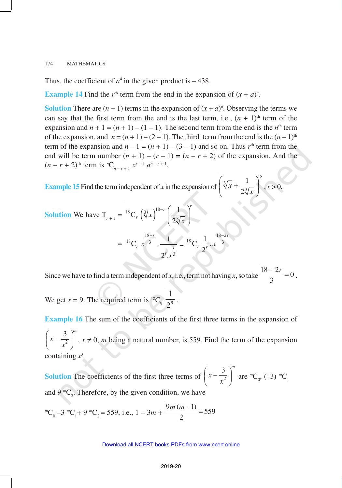Thus, the coefficient of  $a^4$  in the given product is  $-438$ .

**Example 14** Find the  $r<sup>th</sup>$  term from the end in the expansion of  $(x + a)<sup>n</sup>$ .

**Solution** There are  $(n + 1)$  terms in the expansion of  $(x + a)^n$ . Observing the terms we can say that the first term from the end is the last term, i.e.,  $(n + 1)$ <sup>th</sup> term of the expansion and  $n + 1 = (n + 1) - (1 - 1)$ . The second term from the end is the  $n<sup>th</sup>$  term of the expansion, and  $n = (n + 1) - (2 - 1)$ . The third term from the end is the  $(n - 1)$ <sup>th</sup> term of the expansion and  $n - 1 = (n + 1) - (3 - 1)$  and so on. Thus  $r<sup>th</sup>$  term from the end will be term number  $(n + 1) - (r - 1) = (n - r + 2)$  of the expansion. And the  $(n - r + 2)$ <sup>th</sup> term is <sup>*n*</sup>C<sub>*n*–*r*+1</sub>  $x^{r-1}$   $a^{n-r+1}$ .

**Example 15** Find the term independent of *x* in the expansion of 18 3 3 1 2 *x x*  $\left(\sqrt[3]{x} + \frac{1}{2\sqrt[3]{x}}\right)^{16}, x > 0.$ 

Solution We have 
$$
T_{r+1} = {}^{18}C_r \left(\sqrt[3]{x}\right)^{18-r} \left(\frac{1}{2\sqrt[3]{x}}\right)^r
$$
  

$$
= {}^{18}C_r x^{\frac{18-r}{3}} \cdot \frac{1}{2^r x^{\frac{r}{3}}} = {}^{18}C_r \frac{1}{2^r} x^{\frac{18-2r}{3}}
$$

Since we have to find a term independent of *x*, i.e., term not having *x*, so take  $\frac{18-2r}{2} = 0$ 3  $\frac{-2r}{2} = 0$ .

We get  $r = 9$ . The required term is <sup>18</sup>C<sub>9</sub>  $\frac{1}{2^9}$ 1 .

**Example 16** The sum of the coefficients of the first three terms in the expansion of 2  $3 \mid m$ *x x*  $\left(x - \frac{3}{x^2}\right)^m$ ,  $x \neq 0$ , *m* being a natural number, is 559. Find the term of the expansion containing *x* 3 .

**Solution** The coefficients of the first three terms of  $x = \frac{1}{x^2}$  $3 \mid m$ *x x*  $\left(x - \frac{3}{x^2}\right)^m$  are  $^mC_0$ , (-3)  $^mC_1$ and  $9 \, \text{mC}_2$ . Therefore, by the given condition, we have

$$
{}^mC_0 - 3 {}^mC_1 + 9 {}^mC_2 = 559
$$
, i.e.,  $1 - 3m + \frac{9m(m-1)}{2} = 559$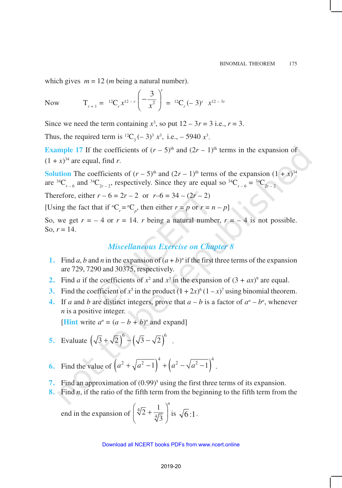which gives  $m = 12$  (*m* being a natural number).

Now  $T_{r+1} = {}^{12}C_r x^{12-r} \left( \frac{-1}{x^2} \right)$ 3 <sup>r</sup>  $\left(-\frac{3}{x^2}\right)^7 = {}^{12}C_r(-3)^r \cdot x^{12-3r}$ 

Since we need the term containing  $x^3$ , so put  $12 - 3r = 3$  i.e.,  $r = 3$ .

Thus, the required term is <sup>12</sup>C<sub>3</sub>(-3)<sup>3</sup>  $x^3$ , i.e., -5940  $x^3$ .

**Example 17** If the coefficients of  $(r - 5)$ <sup>th</sup> and  $(2r - 1)$ <sup>th</sup> terms in the expansion of  $(1 + x)^{34}$  are equal, find *r*.

**Solution** The coefficients of  $(r - 5)$ <sup>th</sup> and  $(2r - 1)$ <sup>th</sup> terms of the expansion  $(1 + x)^{34}$ are <sup>34</sup>C<sub>*r*–6</sub> and <sup>34</sup>C<sub>2*r*-2</sub>, respectively. Since they are equal so <sup>34</sup>C<sub>*r*–6</sub> = <sup>34</sup>C<sub>2*r*-2</sub>

Therefore, either  $r - 6 = 2r - 2$  or  $r - 6 = 34 - (2r - 2)$ 

[Using the fact that if  ${}^nC_r = {}^nC_p$ , then either  $r = p$  or  $r = n - p$ ]

So, we get  $r = -4$  or  $r = 14$ . *r* being a natural number,  $r = -4$  is not possible. So,  $r = 14$ .

## *Miscellaneous Exercise on Chapter 8*

- **1.** Find *a*, *b* and *n* in the expansion of  $(a + b)^n$  if the first three terms of the expansion are 729, 7290 and 30375, respectively.
- **2.** Find *a* if the coefficients of  $x^2$  and  $x^3$  in the expansion of  $(3 + ax)^9$  are equal.
- **3.** Find the coefficient of  $x^5$  in the product  $(1 + 2x)^6 (1 x)^7$  using binomial theorem.
- **4.** If *a* and *b* are distinct integers, prove that  $a b$  is a factor of  $a^n b^n$ , whenever *n* is a positive integer.

**[Hint** write  $a^n = (a - b + b)^n$  and expand]

- **5.** Evaluate  $(\sqrt{3} + \sqrt{2})^6 (\sqrt{3} \sqrt{2})^6$ .
- **6.** Find the value of  $(a^2 + \sqrt{a^2 1}) + (a^2 \sqrt{a^2 1})$  $a^2 + \sqrt{a^2 - 1}$ <sup>4</sup> +  $\left(a^2 - \sqrt{a^2 - 1}\right)^4$ .
- **7.** Find an approximation of  $(0.99)^5$  using the first three terms of its expansion.
- **8.** Find *n*, if the ratio of the fifth term from the beginning to the fifth term from the

end in the expansion of 
$$
\left(\sqrt[4]{2} + \frac{1}{\sqrt[4]{3}}\right)^n
$$
 is  $\sqrt{6}$ :1.